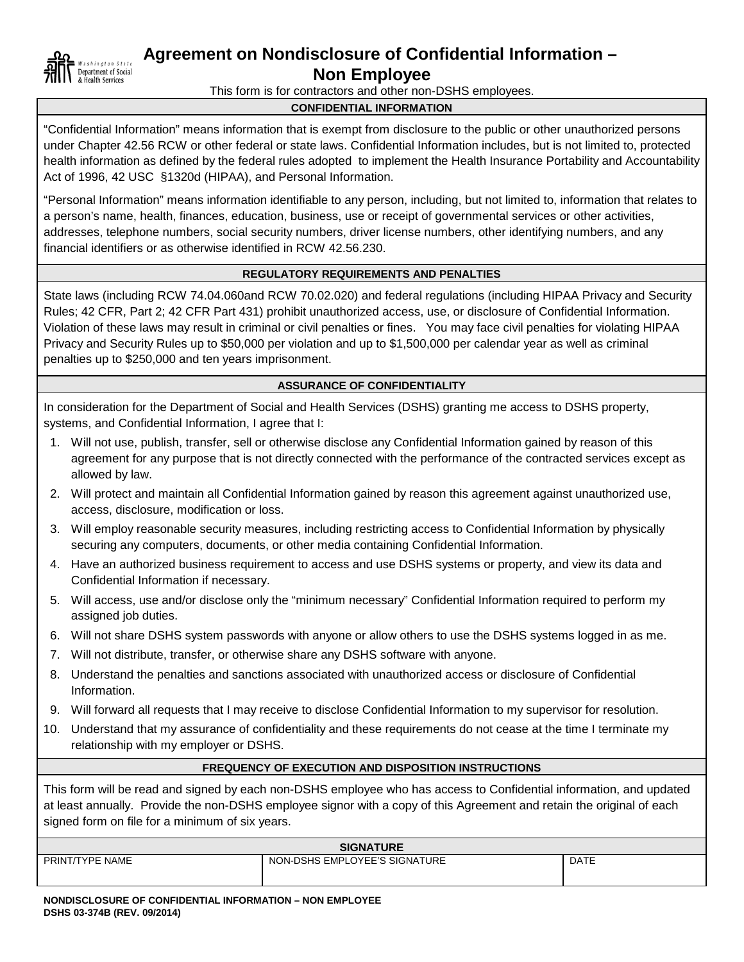

## **Agreement on Nondisclosure of Confidential Information –**

**Non Employee**

This form is for contractors and other non-DSHS employees.

## **CONFIDENTIAL INFORMATION**

"Confidential Information" means information that is exempt from disclosure to the public or other unauthorized persons under Chapter 42.56 RCW or other federal or state laws. Confidential Information includes, but is not limited to, protected health information as defined by the federal rules adopted to implement the Health Insurance Portability and Accountability Act of 1996, 42 USC §1320d (HIPAA), and Personal Information.

"Personal Information" means information identifiable to any person, including, but not limited to, information that relates to a person's name, health, finances, education, business, use or receipt of governmental services or other activities, addresses, telephone numbers, social security numbers, driver license numbers, other identifying numbers, and any financial identifiers or as otherwise identified in RCW 42.56.230.

#### **REGULATORY REQUIREMENTS AND PENALTIES**

State laws (including RCW 74.04.060and RCW 70.02.020) and federal regulations (including HIPAA Privacy and Security Rules; 42 CFR, Part 2; 42 CFR Part 431) prohibit unauthorized access, use, or disclosure of Confidential Information. Violation of these laws may result in criminal or civil penalties or fines. You may face civil penalties for violating HIPAA Privacy and Security Rules up to \$50,000 per violation and up to \$1,500,000 per calendar year as well as criminal penalties up to \$250,000 and ten years imprisonment.

#### **ASSURANCE OF CONFIDENTIALITY**

In consideration for the Department of Social and Health Services (DSHS) granting me access to DSHS property, systems, and Confidential Information, I agree that I:

- 1. Will not use, publish, transfer, sell or otherwise disclose any Confidential Information gained by reason of this agreement for any purpose that is not directly connected with the performance of the contracted services except as allowed by law.
- 2. Will protect and maintain all Confidential Information gained by reason this agreement against unauthorized use, access, disclosure, modification or loss.
- 3. Will employ reasonable security measures, including restricting access to Confidential Information by physically securing any computers, documents, or other media containing Confidential Information.
- 4. Have an authorized business requirement to access and use DSHS systems or property, and view its data and Confidential Information if necessary.
- 5. Will access, use and/or disclose only the "minimum necessary" Confidential Information required to perform my assigned job duties.
- 6. Will not share DSHS system passwords with anyone or allow others to use the DSHS systems logged in as me.
- 7. Will not distribute, transfer, or otherwise share any DSHS software with anyone.
- 8. Understand the penalties and sanctions associated with unauthorized access or disclosure of Confidential Information.
- 9. Will forward all requests that I may receive to disclose Confidential Information to my supervisor for resolution.
- 10. Understand that my assurance of confidentiality and these requirements do not cease at the time I terminate my relationship with my employer or DSHS.

#### **FREQUENCY OF EXECUTION AND DISPOSITION INSTRUCTIONS**

This form will be read and signed by each non-DSHS employee who has access to Confidential information, and updated at least annually. Provide the non-DSHS employee signor with a copy of this Agreement and retain the original of each signed form on file for a minimum of six years.

| <b>SIGNATURE</b> |                               |             |  |  |  |
|------------------|-------------------------------|-------------|--|--|--|
| PRINT/TYPE NAME  | NON-DSHS EMPLOYEE'S SIGNATURE | <b>DATE</b> |  |  |  |
|                  |                               |             |  |  |  |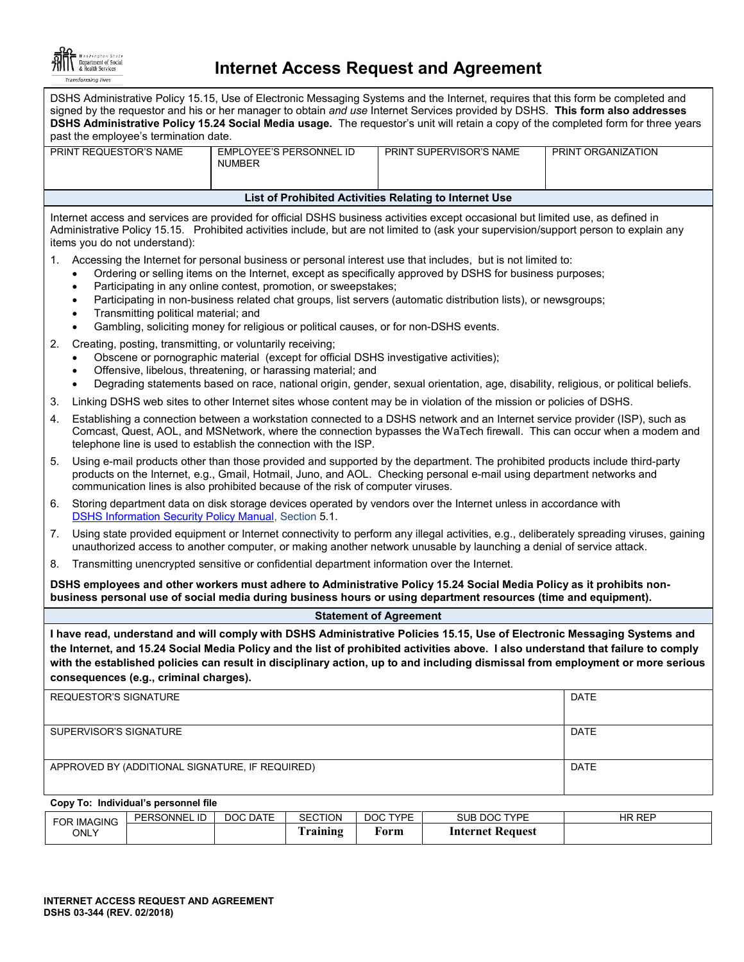

# **Internet Access Request and Agreement**

| DSHS Administrative Policy 15.15, Use of Electronic Messaging Systems and the Internet, requires that this form be completed and<br>signed by the requestor and his or her manager to obtain and use Internet Services provided by DSHS. This form also addresses<br>DSHS Administrative Policy 15.24 Social Media usage. The requestor's unit will retain a copy of the completed form for three years<br>past the employee's termination date. |                                                                                                                                                                                                                                                                                                                                                                                                                                                                                                                                                                                       |                                                 |                                                                                                                                                                                                                                                                            |                    |  |  |  |
|--------------------------------------------------------------------------------------------------------------------------------------------------------------------------------------------------------------------------------------------------------------------------------------------------------------------------------------------------------------------------------------------------------------------------------------------------|---------------------------------------------------------------------------------------------------------------------------------------------------------------------------------------------------------------------------------------------------------------------------------------------------------------------------------------------------------------------------------------------------------------------------------------------------------------------------------------------------------------------------------------------------------------------------------------|-------------------------------------------------|----------------------------------------------------------------------------------------------------------------------------------------------------------------------------------------------------------------------------------------------------------------------------|--------------------|--|--|--|
|                                                                                                                                                                                                                                                                                                                                                                                                                                                  | PRINT REQUESTOR'S NAME                                                                                                                                                                                                                                                                                                                                                                                                                                                                                                                                                                | <b>EMPLOYEE'S PERSONNEL ID</b><br><b>NUMBER</b> | PRINT SUPERVISOR'S NAME                                                                                                                                                                                                                                                    | PRINT ORGANIZATION |  |  |  |
|                                                                                                                                                                                                                                                                                                                                                                                                                                                  |                                                                                                                                                                                                                                                                                                                                                                                                                                                                                                                                                                                       |                                                 | List of Prohibited Activities Relating to Internet Use                                                                                                                                                                                                                     |                    |  |  |  |
|                                                                                                                                                                                                                                                                                                                                                                                                                                                  | items you do not understand):                                                                                                                                                                                                                                                                                                                                                                                                                                                                                                                                                         |                                                 | Internet access and services are provided for official DSHS business activities except occasional but limited use, as defined in<br>Administrative Policy 15.15. Prohibited activities include, but are not limited to (ask your supervision/support person to explain any |                    |  |  |  |
| 1.                                                                                                                                                                                                                                                                                                                                                                                                                                               | Accessing the Internet for personal business or personal interest use that includes, but is not limited to:<br>Ordering or selling items on the Internet, except as specifically approved by DSHS for business purposes;<br>$\bullet$<br>Participating in any online contest, promotion, or sweepstakes;<br>$\bullet$<br>Participating in non-business related chat groups, list servers (automatic distribution lists), or newsgroups;<br>Transmitting political material; and<br>Gambling, soliciting money for religious or political causes, or for non-DSHS events.<br>$\bullet$ |                                                 |                                                                                                                                                                                                                                                                            |                    |  |  |  |
| 2.                                                                                                                                                                                                                                                                                                                                                                                                                                               | Creating, posting, transmitting, or voluntarily receiving;<br>Obscene or pornographic material (except for official DSHS investigative activities);<br>Offensive, libelous, threatening, or harassing material; and<br>$\bullet$<br>Degrading statements based on race, national origin, gender, sexual orientation, age, disability, religious, or political beliefs.<br>$\bullet$                                                                                                                                                                                                   |                                                 |                                                                                                                                                                                                                                                                            |                    |  |  |  |
| 3.                                                                                                                                                                                                                                                                                                                                                                                                                                               |                                                                                                                                                                                                                                                                                                                                                                                                                                                                                                                                                                                       |                                                 | Linking DSHS web sites to other Internet sites whose content may be in violation of the mission or policies of DSHS.                                                                                                                                                       |                    |  |  |  |
| 4.                                                                                                                                                                                                                                                                                                                                                                                                                                               | Establishing a connection between a workstation connected to a DSHS network and an Internet service provider (ISP), such as<br>Comcast, Quest, AOL, and MSNetwork, where the connection bypasses the WaTech firewall. This can occur when a modem and<br>telephone line is used to establish the connection with the ISP.                                                                                                                                                                                                                                                             |                                                 |                                                                                                                                                                                                                                                                            |                    |  |  |  |
| Using e-mail products other than those provided and supported by the department. The prohibited products include third-party<br>5.<br>products on the Internet, e.g., Gmail, Hotmail, Juno, and AOL. Checking personal e-mail using department networks and<br>communication lines is also prohibited because of the risk of computer viruses.                                                                                                   |                                                                                                                                                                                                                                                                                                                                                                                                                                                                                                                                                                                       |                                                 |                                                                                                                                                                                                                                                                            |                    |  |  |  |
| 6.                                                                                                                                                                                                                                                                                                                                                                                                                                               | Storing department data on disk storage devices operated by vendors over the Internet unless in accordance with<br>DSHS Information Security Policy Manual, Section 5.1.                                                                                                                                                                                                                                                                                                                                                                                                              |                                                 |                                                                                                                                                                                                                                                                            |                    |  |  |  |
| 7.                                                                                                                                                                                                                                                                                                                                                                                                                                               | Using state provided equipment or Internet connectivity to perform any illegal activities, e.g., deliberately spreading viruses, gaining<br>unauthorized access to another computer, or making another network unusable by launching a denial of service attack.                                                                                                                                                                                                                                                                                                                      |                                                 |                                                                                                                                                                                                                                                                            |                    |  |  |  |
| 8.                                                                                                                                                                                                                                                                                                                                                                                                                                               | Transmitting unencrypted sensitive or confidential department information over the Internet.                                                                                                                                                                                                                                                                                                                                                                                                                                                                                          |                                                 |                                                                                                                                                                                                                                                                            |                    |  |  |  |
| DSHS employees and other workers must adhere to Administrative Policy 15.24 Social Media Policy as it prohibits non-<br>business personal use of social media during business hours or using department resources (time and equipment).                                                                                                                                                                                                          |                                                                                                                                                                                                                                                                                                                                                                                                                                                                                                                                                                                       |                                                 |                                                                                                                                                                                                                                                                            |                    |  |  |  |
|                                                                                                                                                                                                                                                                                                                                                                                                                                                  |                                                                                                                                                                                                                                                                                                                                                                                                                                                                                                                                                                                       |                                                 | <b>Statement of Agreement</b>                                                                                                                                                                                                                                              |                    |  |  |  |
| I have read, understand and will comply with DSHS Administrative Policies 15.15, Use of Electronic Messaging Systems and<br>the Internet, and 15.24 Social Media Policy and the list of prohibited activities above. I also understand that failure to comply<br>with the established policies can result in disciplinary action, up to and including dismissal from employment or more serious<br>consequences (e.g., criminal charges).        |                                                                                                                                                                                                                                                                                                                                                                                                                                                                                                                                                                                       |                                                 |                                                                                                                                                                                                                                                                            |                    |  |  |  |
|                                                                                                                                                                                                                                                                                                                                                                                                                                                  | REQUESTOR'S SIGNATURE                                                                                                                                                                                                                                                                                                                                                                                                                                                                                                                                                                 |                                                 |                                                                                                                                                                                                                                                                            | DATE               |  |  |  |
|                                                                                                                                                                                                                                                                                                                                                                                                                                                  | SUPERVISOR'S SIGNATURE                                                                                                                                                                                                                                                                                                                                                                                                                                                                                                                                                                |                                                 |                                                                                                                                                                                                                                                                            | <b>DATE</b>        |  |  |  |
|                                                                                                                                                                                                                                                                                                                                                                                                                                                  | APPROVED BY (ADDITIONAL SIGNATURE, IF REQUIRED)                                                                                                                                                                                                                                                                                                                                                                                                                                                                                                                                       |                                                 |                                                                                                                                                                                                                                                                            | DATE               |  |  |  |

#### **Copy To: Individual's personnel file**

| FOR IMAGING | PERSONNEL ID | DOC DATE | <b>SECTION</b>               | DOC TYPE | <b>DOC TYPE</b><br>SUB | <b>HR REP</b> |
|-------------|--------------|----------|------------------------------|----------|------------------------|---------------|
| ONLY        |              |          | <b>CONTRACTOR</b><br>raining | †orm     | Internet Request       |               |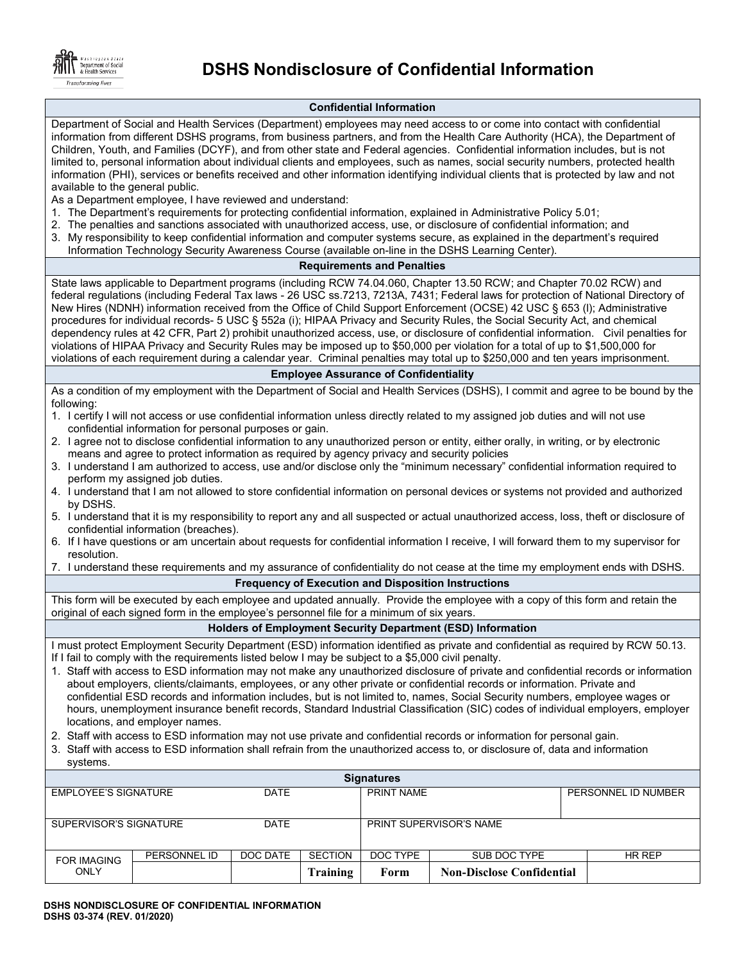

## **DSHS Nondisclosure of Confidential Information**

#### **Confidential Information**

Department of Social and Health Services (Department) employees may need access to or come into contact with confidential information from different DSHS programs, from business partners, and from the Health Care Authority (HCA), the Department of Children, Youth, and Families (DCYF), and from other state and Federal agencies. Confidential information includes, but is not limited to, personal information about individual clients and employees, such as names, social security numbers, protected health information (PHI), services or benefits received and other information identifying individual clients that is protected by law and not available to the general public.

As a Department employee, I have reviewed and understand:

- 1. The Department's requirements for protecting confidential information, explained in Administrative Policy 5.01;
- 2. The penalties and sanctions associated with unauthorized access, use, or disclosure of confidential information; and
- 3. My responsibility to keep confidential information and computer systems secure, as explained in the department's required Information Technology Security Awareness Course (available on-line in the DSHS Learning Center).

#### **Requirements and Penalties**

State laws applicable to Department programs (including RCW 74.04.060, Chapter 13.50 RCW; and Chapter 70.02 RCW) and federal regulations (including Federal Tax laws - 26 USC ss.7213, 7213A, 7431; Federal laws for protection of National Directory of New Hires (NDNH) information received from the Office of Child Support Enforcement (OCSE) 42 USC § 653 (l); Administrative procedures for individual records- 5 USC § 552a (i); HIPAA Privacy and Security Rules, the Social Security Act, and chemical dependency rules at 42 CFR, Part 2) prohibit unauthorized access, use, or disclosure of confidential information. Civil penalties for violations of HIPAA Privacy and Security Rules may be imposed up to \$50,000 per violation for a total of up to \$1,500,000 for violations of each requirement during a calendar year. Criminal penalties may total up to \$250,000 and ten years imprisonment.

#### **Employee Assurance of Confidentiality**

As a condition of my employment with the Department of Social and Health Services (DSHS), I commit and agree to be bound by the following:

- 1. I certify I will not access or use confidential information unless directly related to my assigned job duties and will not use confidential information for personal purposes or gain.
- 2. I agree not to disclose confidential information to any unauthorized person or entity, either orally, in writing, or by electronic means and agree to protect information as required by agency privacy and security policies
- 3. I understand I am authorized to access, use and/or disclose only the "minimum necessary" confidential information required to perform my assigned job duties.
- 4. I understand that I am not allowed to store confidential information on personal devices or systems not provided and authorized by DSHS.
- 5. I understand that it is my responsibility to report any and all suspected or actual unauthorized access, loss, theft or disclosure of confidential information (breaches).
- 6. If I have questions or am uncertain about requests for confidential information I receive, I will forward them to my supervisor for resolution.
- 7. I understand these requirements and my assurance of confidentiality do not cease at the time my employment ends with DSHS.

#### **Frequency of Execution and Disposition Instructions**

This form will be executed by each employee and updated annually. Provide the employee with a copy of this form and retain the original of each signed form in the employee's personnel file for a minimum of six years.

#### **Holders of Employment Security Department (ESD) Information**

I must protect Employment Security Department (ESD) information identified as private and confidential as required by RCW 50.13. If I fail to comply with the requirements listed below I may be subject to a \$5,000 civil penalty.

- 1. Staff with access to ESD information may not make any unauthorized disclosure of private and confidential records or information about employers, clients/claimants, employees, or any other private or confidential records or information. Private and confidential ESD records and information includes, but is not limited to, names, Social Security numbers, employee wages or hours, unemployment insurance benefit records, Standard Industrial Classification (SIC) codes of individual employers, employer locations, and employer names.
- 2. Staff with access to ESD information may not use private and confidential records or information for personal gain.
- 3. Staff with access to ESD information shall refrain from the unauthorized access to, or disclosure of, data and information systems.

| <b>Signatures</b>          |              |             |                         |            |                                  |                     |
|----------------------------|--------------|-------------|-------------------------|------------|----------------------------------|---------------------|
| EMPLOYEE'S SIGNATURE       |              | <b>DATE</b> |                         | PRINT NAME |                                  | PERSONNEL ID NUMBER |
|                            |              |             |                         |            |                                  |                     |
| SUPERVISOR'S SIGNATURE     |              | <b>DATE</b> | PRINT SUPERVISOR'S NAME |            |                                  |                     |
|                            |              |             |                         |            |                                  |                     |
| <b>FOR IMAGING</b><br>ONLY | PERSONNEL ID | DOC DATE    | <b>SECTION</b>          | DOC TYPE   | SUB DOC TYPE                     | HR REP              |
|                            |              |             | Training                | Form       | <b>Non-Disclose Confidential</b> |                     |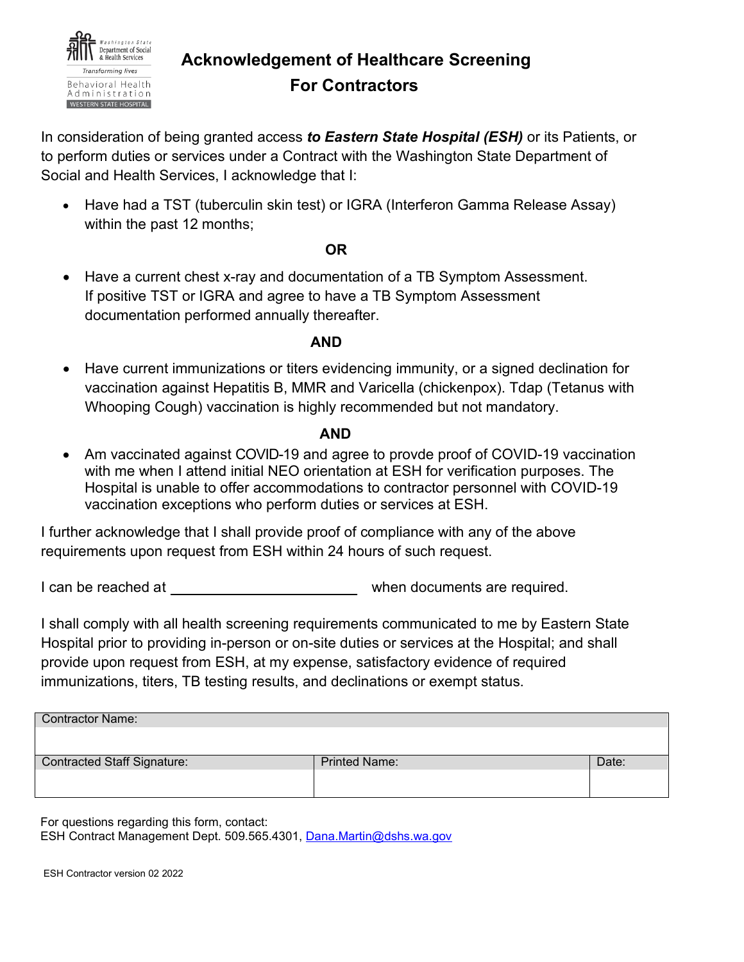

## **Acknowledgement of Healthcare Screening For Contractors**

In consideration of being granted access *to Eastern State Hospital (ESH)* or its Patients, or to perform duties or services under a Contract with the Washington State Department of Social and Health Services, I acknowledge that I:

• Have had a TST (tuberculin skin test) or IGRA (Interferon Gamma Release Assay) within the past 12 months;

### **OR**

• Have a current chest x-ray and documentation of a TB Symptom Assessment. If positive TST or IGRA and agree to have a TB Symptom Assessment documentation performed annually thereafter.

## *AND* AND

• Have current immunizations or titers evidencing immunity, or a signed declination for vaccination against Hepatitis B, MMR and Varicella (chickenpox). Tdap (Tetanus with Whooping Cough) vaccination is highly recommended but not mandatory.

## *AND*

• Am vaccinated against COVID-19 and agree to provde proof of COVID-19 vaccination with me when I attend initial NEO orientation at ESH for verification purposes. The Hospital is unable to offer accommodations to contractor personnel with COVID-19 vaccination exceptions who perform duties or services at ESH.

I further acknowledge that I shall provide proof of compliance with any of the above requirements upon request from ESH within 24 hours of such request.

I can be reached at  $\blacksquare$ 

I shall comply with all health screening requirements communicated to me by Eastern State Hospital prior to providing in-person or on-site duties or services at the Hospital; and shall provide upon request from ESH, at my expense, satisfactory evidence of required immunizations, titers, TB testing results, and declinations or exempt status.

| <b>Printed Name:</b> | Date: |
|----------------------|-------|
|                      |       |
|                      |       |
|                      |       |

For questions regarding this form, contact: ESH Contract Management Dept. 509.565.4301, Dana.Martin@dshs.wa.gov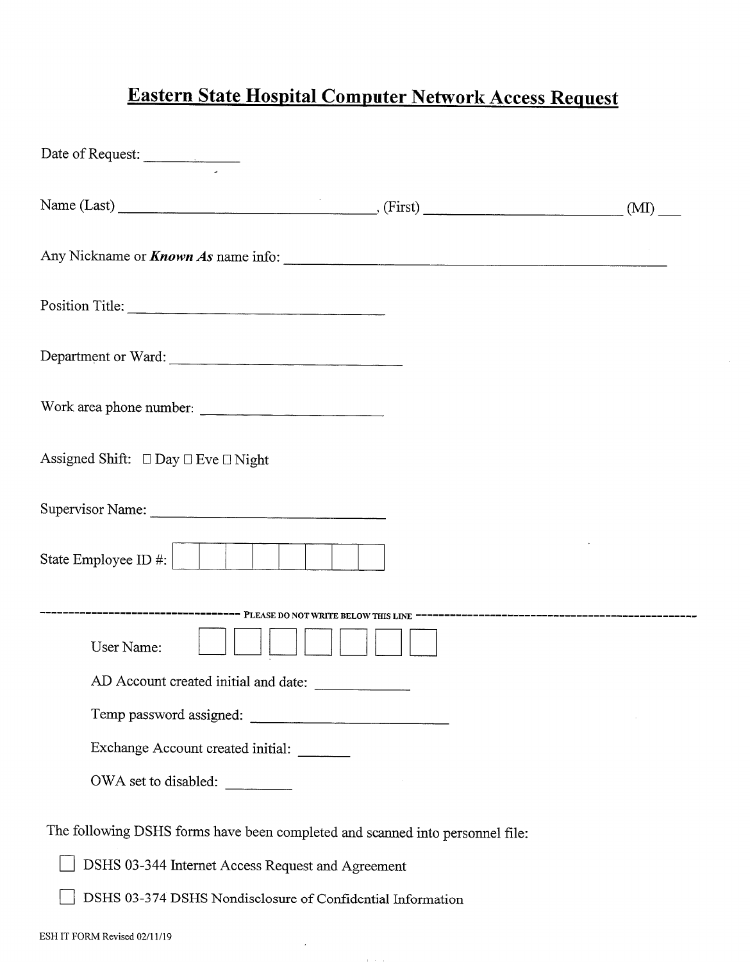# Eastern State Hospital Computer Network Access Request

| Date of Request:                                                              |  |
|-------------------------------------------------------------------------------|--|
|                                                                               |  |
| Any Nickname or <i>Known As</i> name info:                                    |  |
| Position Title:                                                               |  |
| Department or Ward:                                                           |  |
| Work area phone number:                                                       |  |
| Assigned Shift: □ Day □ Eve □ Night                                           |  |
|                                                                               |  |
|                                                                               |  |
| User Name:                                                                    |  |
|                                                                               |  |
| AD Account created initial and date:                                          |  |
| Temp password assigned:                                                       |  |
| Exchange Account created initial:                                             |  |
| OWA set to disabled:                                                          |  |
| The following DSHS forms have been completed and scanned into personnel file: |  |
| DSHS 03-344 Internet Access Request and Agreement                             |  |
| DSHS 03-374 DSHS Nondisclosure of Confidential Information                    |  |
| ESH IT FORM Revised 02/11/19                                                  |  |